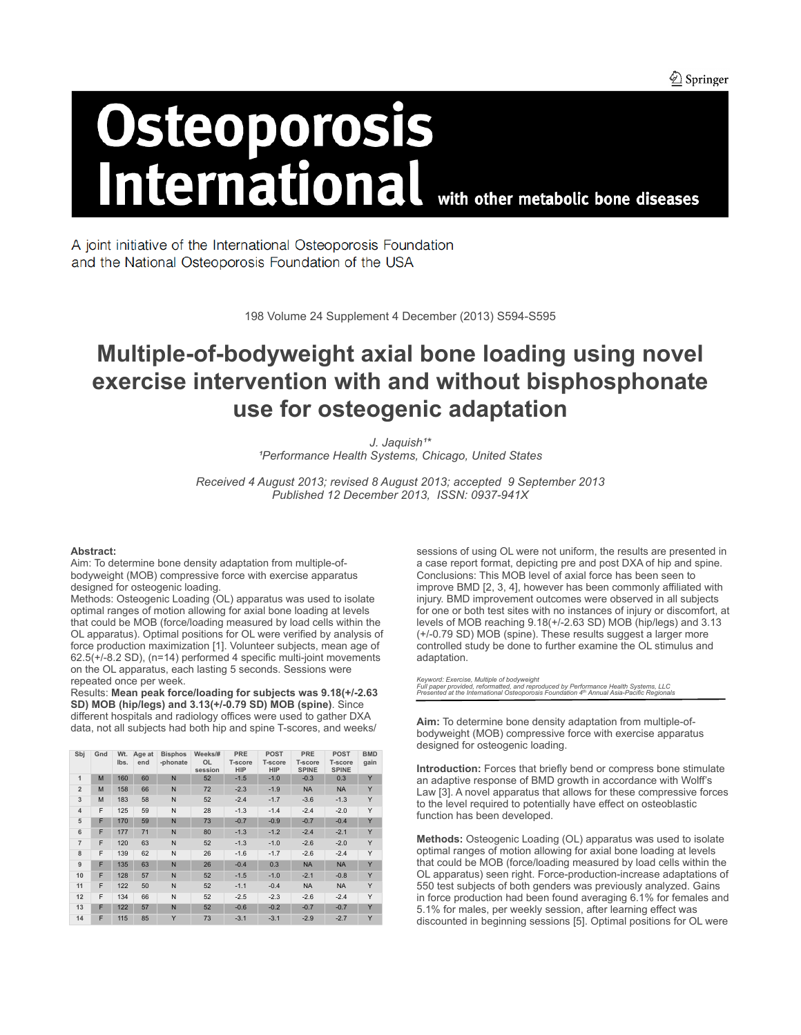$\bigcircled{2}$  Springer

# **Osteoporosis<br>International** with other metabolic bone diseases

A joint initiative of the International Osteoporosis Foundation and the National Osteoporosis Foundation of the USA

198 Volume 24 Supplement 4 December (2013) S594-S595

# **Multiple-of-bodyweight axial bone loading using novel exercise intervention with and without bisphosphonate use for osteogenic adaptation**

*J. Jaquish¹\* ¹Performance Health Systems, Chicago, United States*

*Received 4 August 2013; revised 8 August 2013; accepted 9 September 2013 Published 12 December 2013, ISSN: 0937-941X*

## **Abstract:**

Aim: To determine bone density adaptation from multiple-ofbodyweight (MOB) compressive force with exercise apparatus designed for osteogenic loading.

Methods: Osteogenic Loading (OL) apparatus was used to isolate optimal ranges of motion allowing for axial bone loading at levels that could be MOB (force/loading measured by load cells within the OL apparatus). Optimal positions for OL were verified by analysis of force production maximization [1]. Volunteer subjects, mean age of 62.5(+/-8.2 SD), (n=14) performed 4 specific multi-joint movements on the OL apparatus, each lasting 5 seconds. Sessions were repeated once per week.

Results: **Mean peak force/loading for subjects was 9.18(+/-2.63 SD) MOB (hip/legs) and 3.13(+/-0.79 SD) MOB (spine)**. Since different hospitals and radiology offices were used to gather DXA data, not all subjects had both hip and spine T-scores, and weeks/

| Sbj            | Gnd | Wt.<br>Ibs. | Age at<br>end | <b>Bisphos</b><br>-phonate | Weeks/#<br><b>OL</b><br>session | PRE<br><b>T-score</b><br><b>HIP</b> | <b>POST</b><br><b>T-score</b><br><b>HIP</b> | <b>PRE</b><br><b>T-score</b><br><b>SPINE</b> | <b>POST</b><br><b>T-score</b><br><b>SPINE</b> | <b>BMD</b><br>gain |
|----------------|-----|-------------|---------------|----------------------------|---------------------------------|-------------------------------------|---------------------------------------------|----------------------------------------------|-----------------------------------------------|--------------------|
| $\mathbf{1}$   | M   | 160         | 60            | N                          | 52                              | $-1.5$                              | $-1.0$                                      | $-0.3$                                       | 0.3                                           | Y                  |
| $\overline{2}$ | M   | 158         | 66            | N                          | 72                              | $-2.3$                              | $-1.9$                                      | <b>NA</b>                                    | <b>NA</b>                                     | Y                  |
| 3              | M   | 183         | 58            | N                          | 52                              | $-2.4$                              | $-1.7$                                      | $-3.6$                                       | $-1.3$                                        | Y                  |
| $\overline{4}$ | F   | 125         | 59            | N                          | 28                              | $-1.3$                              | $-1.4$                                      | $-2.4$                                       | $-2.0$                                        | Y                  |
| 5              | F   | 170         | 59            | N                          | 73                              | $-0.7$                              | $-0.9$                                      | $-0.7$                                       | $-0.4$                                        | Y                  |
| 6              | F   | 177         | 71            | N                          | 80                              | $-1.3$                              | $-1.2$                                      | $-2.4$                                       | $-2.1$                                        | Y                  |
| $\overline{7}$ | F   | 120         | 63            | N                          | 52                              | $-1.3$                              | $-1.0$                                      | $-2.6$                                       | $-2.0$                                        | Y                  |
| 8              | F   | 139         | 62            | N                          | 26                              | $-1.6$                              | $-1.7$                                      | $-2.6$                                       | $-2.4$                                        | Y                  |
| 9              | F   | 135         | 63            | N                          | 26                              | $-0.4$                              | 0.3                                         | <b>NA</b>                                    | <b>NA</b>                                     | Y                  |
| 10             | F   | 128         | 57            | N                          | 52                              | $-1.5$                              | $-1.0$                                      | $-2.1$                                       | $-0.8$                                        | Y                  |
| 11             | F   | 122         | 50            | N                          | 52                              | $-1.1$                              | $-0.4$                                      | <b>NA</b>                                    | <b>NA</b>                                     | Y                  |
| 12             | F   | 134         | 66            | N                          | 52                              | $-2.5$                              | $-2.3$                                      | $-2.6$                                       | $-2.4$                                        | Y                  |
| 13             | F   | 122         | 57            | N                          | 52                              | $-0.6$                              | $-0.2$                                      | $-0.7$                                       | $-0.7$                                        | Y                  |
| 14             | F   | 115         | 85            | Y                          | 73                              | $-3.1$                              | $-3.1$                                      | $-2.9$                                       | $-2.7$                                        | Y                  |

sessions of using OL were not uniform, the results are presented in a case report format, depicting pre and post DXA of hip and spine. Conclusions: This MOB level of axial force has been seen to improve BMD [2, 3, 4], however has been commonly affiliated with injury. BMD improvement outcomes were observed in all subjects for one or both test sites with no instances of injury or discomfort, at levels of MOB reaching 9.18(+/-2.63 SD) MOB (hip/legs) and 3.13 (+/-0.79 SD) MOB (spine). These results suggest a larger more controlled study be done to further examine the OL stimulus and adaptation.

Keyword: Exercise, Multiple of bodyweight<br>Full paper provided, reformatted, and reproduced by Performance Health Systems, LLC<br>Presented at the International Osteoporosis Foundation 4º Annual Asia-Pacific Regionals

**Aim:** To determine bone density adaptation from multiple-ofbodyweight (MOB) compressive force with exercise apparatus designed for osteogenic loading.

**Introduction:** Forces that briefly bend or compress bone stimulate an adaptive response of BMD growth in accordance with Wolff's Law [3]. A novel apparatus that allows for these compressive forces to the level required to potentially have effect on osteoblastic function has been developed.

**Methods:** Osteogenic Loading (OL) apparatus was used to isolate optimal ranges of motion allowing for axial bone loading at levels that could be MOB (force/loading measured by load cells within the OL apparatus) seen right. Force-production-increase adaptations of 550 test subjects of both genders was previously analyzed. Gains in force production had been found averaging 6.1% for females and 5.1% for males, per weekly session, after learning effect was discounted in beginning sessions [5]. Optimal positions for OL were